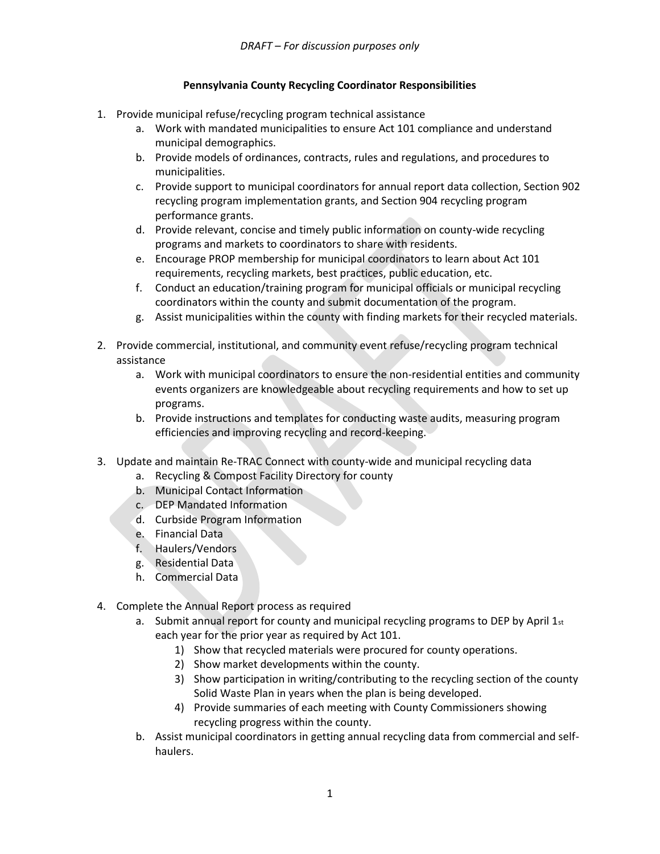## **Pennsylvania County Recycling Coordinator Responsibilities**

- 1. Provide municipal refuse/recycling program technical assistance
	- a. Work with mandated municipalities to ensure Act 101 compliance and understand municipal demographics.
	- b. Provide models of ordinances, contracts, rules and regulations, and procedures to municipalities.
	- c. Provide support to municipal coordinators for annual report data collection, Section 902 recycling program implementation grants, and Section 904 recycling program performance grants.
	- d. Provide relevant, concise and timely public information on county-wide recycling programs and markets to coordinators to share with residents.
	- e. Encourage PROP membership for municipal coordinators to learn about Act 101 requirements, recycling markets, best practices, public education, etc.
	- f. Conduct an education/training program for municipal officials or municipal recycling coordinators within the county and submit documentation of the program.
	- g. Assist municipalities within the county with finding markets for their recycled materials.
- 2. Provide commercial, institutional, and community event refuse/recycling program technical assistance
	- a. Work with municipal coordinators to ensure the non-residential entities and community events organizers are knowledgeable about recycling requirements and how to set up programs.
	- b. Provide instructions and templates for conducting waste audits, measuring program efficiencies and improving recycling and record-keeping.
- 3. Update and maintain Re-TRAC Connect with county-wide and municipal recycling data
	- a. Recycling & Compost Facility Directory for county
	- b. Municipal Contact Information
	- c. DEP Mandated Information
	- d. Curbside Program Information
	- e. Financial Data
	- f. Haulers/Vendors
	- g. Residential Data
	- h. Commercial Data
- 4. Complete the Annual Report process as required
	- a. Submit annual report for county and municipal recycling programs to DEP by April  $1_{st}$ each year for the prior year as required by Act 101.
		- 1) Show that recycled materials were procured for county operations.
		- 2) Show market developments within the county.
		- 3) Show participation in writing/contributing to the recycling section of the county Solid Waste Plan in years when the plan is being developed.
		- 4) Provide summaries of each meeting with County Commissioners showing recycling progress within the county.
	- b. Assist municipal coordinators in getting annual recycling data from commercial and selfhaulers.